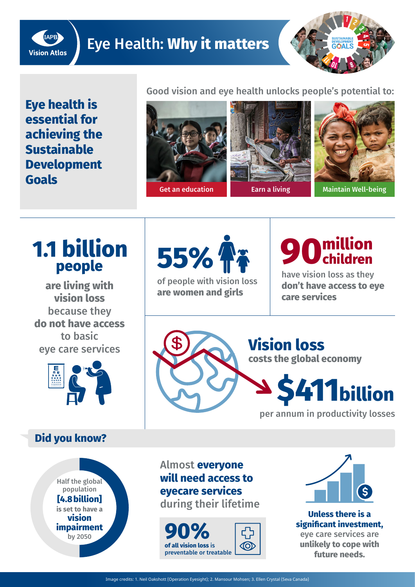

### Eye Health: **Why it matters**



**Eye health is essential for achieving the Sustainable Development Goals**

Good vision and eye health unlocks people's potential to:





## **1.1 billion** people

**are living with vision loss**  because they **do not have access**  to basic eye care services



#### **Did you know?**

Half the global population **[4.8 billion] is set to have a vision impairment**  by 2050



of people with vision loss **are women and girls**

# **90**

have vision loss as they **don't have access to eye care services**



**Vision loss costs the global economy** 



per annum in productivity losses

Almost **everyone will need access to eyecare services** during their lifetime





**Unless there is a significant investment,**  eye care services are **unlikely to cope with future needs.**